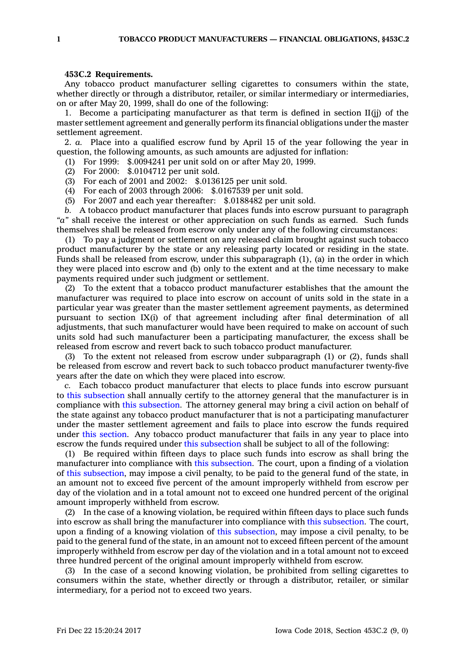## **453C.2 Requirements.**

Any tobacco product manufacturer selling cigarettes to consumers within the state, whether directly or through <sup>a</sup> distributor, retailer, or similar intermediary or intermediaries, on or after May 20, 1999, shall do one of the following:

1. Become a participating manufacturer as that term is defined in section  $II(ij)$  of the master settlement agreement and generally perform its financial obligations under the master settlement agreement.

2. *a.* Place into <sup>a</sup> qualified escrow fund by April 15 of the year following the year in question, the following amounts, as such amounts are adjusted for inflation:

- (1) For 1999: \$.0094241 per unit sold on or after May 20, 1999.
- (2) For 2000: \$.0104712 per unit sold.
- (3) For each of 2001 and 2002: \$.0136125 per unit sold.
- (4) For each of 2003 through 2006: \$.0167539 per unit sold.
- (5) For 2007 and each year thereafter: \$.0188482 per unit sold.

*b.* A tobacco product manufacturer that places funds into escrow pursuant to paragraph *"a"* shall receive the interest or other appreciation on such funds as earned. Such funds themselves shall be released from escrow only under any of the following circumstances:

(1) To pay <sup>a</sup> judgment or settlement on any released claim brought against such tobacco product manufacturer by the state or any releasing party located or residing in the state. Funds shall be released from escrow, under this subparagraph (1), (a) in the order in which they were placed into escrow and (b) only to the extent and at the time necessary to make payments required under such judgment or settlement.

(2) To the extent that <sup>a</sup> tobacco product manufacturer establishes that the amount the manufacturer was required to place into escrow on account of units sold in the state in <sup>a</sup> particular year was greater than the master settlement agreement payments, as determined pursuant to section IX(i) of that agreement including after final determination of all adjustments, that such manufacturer would have been required to make on account of such units sold had such manufacturer been <sup>a</sup> participating manufacturer, the excess shall be released from escrow and revert back to such tobacco product manufacturer.

(3) To the extent not released from escrow under subparagraph (1) or (2), funds shall be released from escrow and revert back to such tobacco product manufacturer twenty-five years after the date on which they were placed into escrow.

*c.* Each tobacco product manufacturer that elects to place funds into escrow pursuant to this [subsection](https://www.legis.iowa.gov/docs/code/453C.2.pdf) shall annually certify to the attorney general that the manufacturer is in compliance with this [subsection](https://www.legis.iowa.gov/docs/code/453C.2.pdf). The attorney general may bring <sup>a</sup> civil action on behalf of the state against any tobacco product manufacturer that is not <sup>a</sup> participating manufacturer under the master settlement agreement and fails to place into escrow the funds required under this [section](https://www.legis.iowa.gov/docs/code/453C.2.pdf). Any tobacco product manufacturer that fails in any year to place into escrow the funds required under this [subsection](https://www.legis.iowa.gov/docs/code/453C.2.pdf) shall be subject to all of the following:

(1) Be required within fifteen days to place such funds into escrow as shall bring the manufacturer into compliance with this [subsection](https://www.legis.iowa.gov/docs/code/453C.2.pdf). The court, upon <sup>a</sup> finding of <sup>a</sup> violation of this [subsection](https://www.legis.iowa.gov/docs/code/453C.2.pdf), may impose <sup>a</sup> civil penalty, to be paid to the general fund of the state, in an amount not to exceed five percent of the amount improperly withheld from escrow per day of the violation and in <sup>a</sup> total amount not to exceed one hundred percent of the original amount improperly withheld from escrow.

(2) In the case of <sup>a</sup> knowing violation, be required within fifteen days to place such funds into escrow as shall bring the manufacturer into compliance with this [subsection](https://www.legis.iowa.gov/docs/code/453C.2.pdf). The court, upon <sup>a</sup> finding of <sup>a</sup> knowing violation of this [subsection](https://www.legis.iowa.gov/docs/code/453C.2.pdf), may impose <sup>a</sup> civil penalty, to be paid to the general fund of the state, in an amount not to exceed fifteen percent of the amount improperly withheld from escrow per day of the violation and in <sup>a</sup> total amount not to exceed three hundred percent of the original amount improperly withheld from escrow.

(3) In the case of <sup>a</sup> second knowing violation, be prohibited from selling cigarettes to consumers within the state, whether directly or through <sup>a</sup> distributor, retailer, or similar intermediary, for <sup>a</sup> period not to exceed two years.